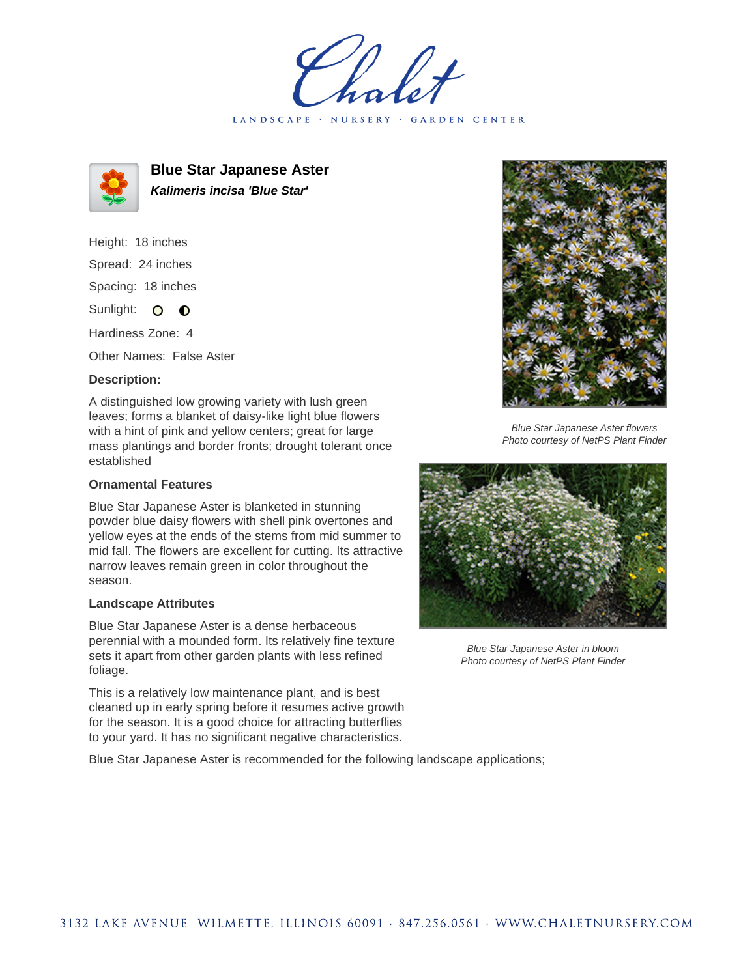holet LANDSCAPE · NURSERY · GARDEN CENTER



**Blue Star Japanese Aster Kalimeris incisa 'Blue Star'**

Height: 18 inches Spread: 24 inches Spacing: 18 inches Sunlight: O **O** 

Hardiness Zone: 4

Other Names: False Aster

## **Description:**

A distinguished low growing variety with lush green leaves; forms a blanket of daisy-like light blue flowers with a hint of pink and yellow centers; great for large mass plantings and border fronts; drought tolerant once established

## **Ornamental Features**

Blue Star Japanese Aster is blanketed in stunning powder blue daisy flowers with shell pink overtones and yellow eyes at the ends of the stems from mid summer to mid fall. The flowers are excellent for cutting. Its attractive narrow leaves remain green in color throughout the season.

## **Landscape Attributes**

Blue Star Japanese Aster is a dense herbaceous perennial with a mounded form. Its relatively fine texture sets it apart from other garden plants with less refined foliage.

This is a relatively low maintenance plant, and is best cleaned up in early spring before it resumes active growth for the season. It is a good choice for attracting butterflies to your yard. It has no significant negative characteristics.

Blue Star Japanese Aster is recommended for the following landscape applications;



Blue Star Japanese Aster flowers Photo courtesy of NetPS Plant Finder



Blue Star Japanese Aster in bloom Photo courtesy of NetPS Plant Finder